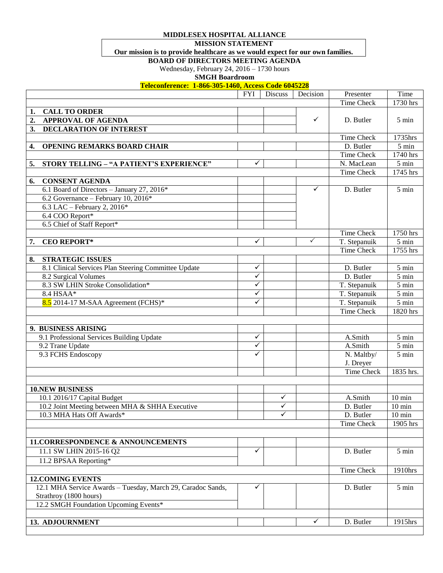**MIDDLESEX HOSPITAL ALLIANCE**

**MISSION STATEMENT**

## **Our mission is to provide healthcare as we would expect for our own families.**

**BOARD OF DIRECTORS MEETING AGENDA**

Wednesday, February 24, 2016 – 1730 hours

**SMGH Boardroom**

**Teleconference: 1-866-305-1460, Access Code 6045228**

|                                                             | <b>FYI</b>   | Discuss      | Decision     | Presenter         | Time               |
|-------------------------------------------------------------|--------------|--------------|--------------|-------------------|--------------------|
|                                                             |              |              |              | <b>Time Check</b> | 1730 hrs           |
| <b>CALL TO ORDER</b><br>1.                                  |              |              |              |                   |                    |
| $\overline{2}$<br><b>APPROVAL OF AGENDA</b>                 |              |              | $\checkmark$ | D. Butler         | $5 \text{ min}$    |
| <b>DECLARATION OF INTEREST</b><br>3.                        |              |              |              |                   |                    |
|                                                             |              |              |              | Time Check        | 1735hrs            |
| <b>OPENING REMARKS BOARD CHAIR</b><br>4.                    |              |              |              | D. Butler         | $5 \text{ min}$    |
|                                                             |              |              |              | Time Check        | 1740 hrs           |
| STORY TELLING - "A PATIENT'S EXPERIENCE"<br>5.              | ✓            |              |              | N. MacLean        | $\overline{5}$ min |
|                                                             |              |              |              | Time Check        | 1745 hrs           |
| <b>CONSENT AGENDA</b><br>6.                                 |              |              |              |                   |                    |
| 6.1 Board of Directors - January 27, 2016*                  |              |              | $\checkmark$ | D. Butler         | 5 min              |
| 6.2 Governance - February 10, 2016*                         |              |              |              |                   |                    |
| 6.3 LAC - February 2, $2016*$                               |              |              |              |                   |                    |
| 6.4 COO Report*                                             |              |              |              |                   |                    |
| 6.5 Chief of Staff Report*                                  |              |              |              |                   |                    |
|                                                             |              |              |              | Time Check        | 1750 hrs           |
| <b>CEO REPORT*</b><br>7.                                    | ✓            |              | $\checkmark$ | T. Stepanuik      | $5 \text{ min}$    |
|                                                             |              |              |              | Time Check        | 1755 hrs           |
| <b>STRATEGIC ISSUES</b><br>8.                               |              |              |              |                   |                    |
| 8.1 Clinical Services Plan Steering Committee Update        | ✓            |              |              | D. Butler         | 5 min              |
| 8.2 Surgical Volumes                                        | ✓            |              |              | D. Butler         | $5 \text{ min}$    |
| 8.3 SW LHIN Stroke Consolidation*                           | ✓            |              |              | T. Stepanuik      | $5 \text{ min}$    |
| 8.4 HSAA*                                                   | ✓            |              |              | T. Stepanuik      | $5 \text{ min}$    |
| 8.5 2014-17 M-SAA Agreement (FCHS)*                         | ✓            |              |              | T. Stepanuik      | $5 \text{ min}$    |
|                                                             |              |              |              | <b>Time Check</b> | 1820 hrs           |
|                                                             |              |              |              |                   |                    |
| 9. BUSINESS ARISING                                         |              |              |              |                   |                    |
| 9.1 Professional Services Building Update                   | $\checkmark$ |              |              | A.Smith           | $5 \text{ min}$    |
| 9.2 Trane Update                                            | ✓            |              |              | A.Smith           | $5 \text{ min}$    |
| 9.3 FCHS Endoscopy                                          | ✓            |              |              | N. Maltby/        | 5 min              |
|                                                             |              |              |              | J. Dreyer         |                    |
|                                                             |              |              |              | <b>Time Check</b> | 1835 hrs.          |
|                                                             |              |              |              |                   |                    |
| <b>10.NEW BUSINESS</b>                                      |              |              |              |                   |                    |
| 10.1 2016/17 Capital Budget                                 |              | $\checkmark$ |              | A.Smith           | $10 \text{ min}$   |
| 10.2 Joint Meeting between MHA & SHHA Executive             |              | ✓            |              | D. Butler         | $10 \text{ min}$   |
| 10.3 MHA Hats Off Awards*                                   |              | ✓            |              | D. Butler         | $10 \text{ min}$   |
|                                                             |              |              |              |                   |                    |
|                                                             |              |              |              | Time Check        | 1905 hrs           |
|                                                             |              |              |              |                   |                    |
| 11.CORRESPONDENCE & ANNOUNCEMENTS                           |              |              |              |                   |                    |
| 11.1 SW LHIN 2015-16 Q2                                     | ✓            |              |              | D. Butler         | 5 min              |
| 11.2 BPSAA Reporting*                                       |              |              |              |                   |                    |
|                                                             |              |              |              | Time Check        | 1910hrs            |
| <b>12. COMING EVENTS</b>                                    |              |              |              |                   |                    |
| 12.1 MHA Service Awards - Tuesday, March 29, Caradoc Sands, | ✓            |              |              | D. Butler         | 5 min              |
| Strathroy (1800 hours)                                      |              |              |              |                   |                    |
| 12.2 SMGH Foundation Upcoming Events*                       |              |              |              |                   |                    |
|                                                             |              |              |              |                   |                    |
| 13. ADJOURNMENT                                             |              |              | ✓            | D. Butler         | 1915hrs            |
|                                                             |              |              |              |                   |                    |